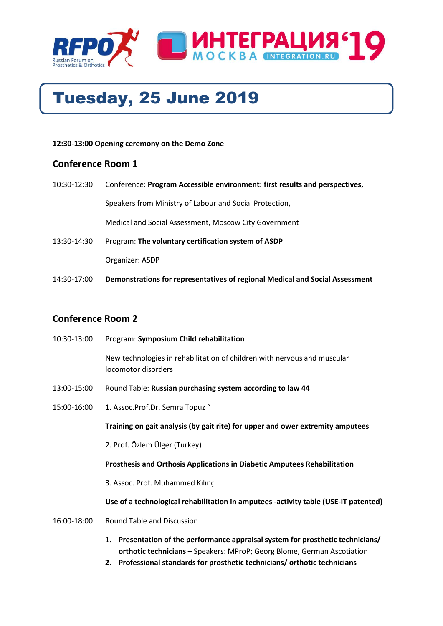

# Tuesday, 25 June 2019

#### **12:30-13:00 Opening ceremony on the Demo Zone**

## **Conference Room 1**

- 10:30-12:30 Conference: **Program Accessible environment: first results and perspectives,** Speakers from Ministry of Labour and Social Protection, Medical and Social Assessment, Moscow City Government 13:30-14:30 Program: **The voluntary certification system of ASDP** Organizer: ASDP
- 14:30-17:00 **Demonstrations for representatives of regional Medical and Social Assessment**

## **Conference Room 2**

| 10:30-13:00 | Program: Symposium Child rehabilitation                                                         |
|-------------|-------------------------------------------------------------------------------------------------|
|             | New technologies in rehabilitation of children with nervous and muscular<br>locomotor disorders |
| 13:00-15:00 | Round Table: Russian purchasing system according to law 44                                      |
| 15:00-16:00 | 1. Assoc.Prof.Dr. Semra Topuz "                                                                 |
|             | Training on gait analysis (by gait rite) for upper and ower extremity amputees                  |
|             | 2. Prof. Özlem Ülger (Turkey)                                                                   |
|             | <b>Prosthesis and Orthosis Applications in Diabetic Amputees Rehabilitation</b>                 |
|             | 3. Assoc. Prof. Muhammed Kılınç                                                                 |
|             | Use of a technological rehabilitation in amputees -activity table (USE-IT patented)             |
| 16:00-18:00 | Round Table and Discussion                                                                      |
|             | 1. Presentation of the performance appraisal system for prosthetic technicians/                 |

- **orthotic technicians** Speakers: MProP; Georg Blome, German Ascotiation
- **2. Professional standards for prosthetic technicians/ orthotic technicians**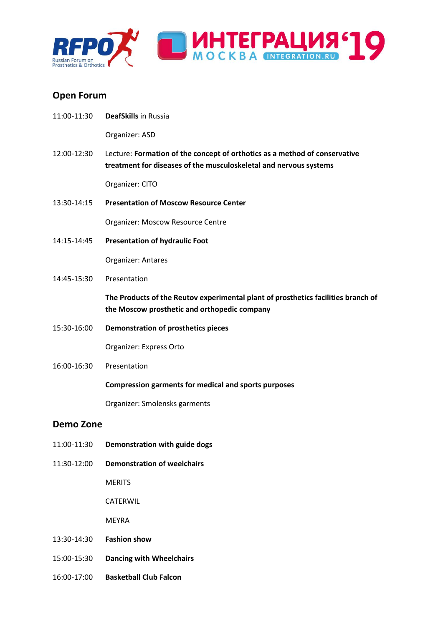

## **Open Forum**

11:00-11:30 **DeafSkills** in Russia

Organizer: ASD

12:00-12:30 Lecture: **Formation of the concept of orthotics as a method of conservative treatment for diseases of the musculoskeletal and nervous systems**

Organizer: CITO

13:30-14:15 **Presentation of Moscow Resource Center**

Organizer: Moscow Resource Centre

14:15-14:45 **Presentation of hydraulic Foot**

Organizer: Antares

14:45-15:30 Presentation

**The Products of the Reutov experimental plant of prosthetics facilities branch of the Moscow prosthetic and orthopedic company**

15:30-16:00 **Demonstration of prosthetics pieces**

Organizer: Express Orto

16:00-16:30 Presentation

#### **Compression garments for medical and sports purposes**

Organizer: Smolensks garments

#### **Demo Zone**

- 11:00-11:30 **Demonstration with guide dogs**
- 11:30-12:00 **Demonstration of weelchairs**

**MERITS** 

CATERWIL

**MEYRA** 

- 13:30-14:30 **Fashion show**
- 15:00-15:30 **Dancing with Wheelchairs**
- 16:00-17:00 **Basketball Club Falcon**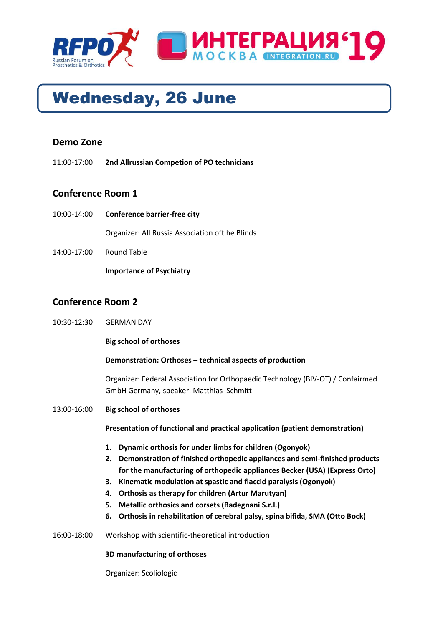



## **Demo Zone**

11:00-17:00 **2nd Allrussian Competion of PO technicians**

## **Conference Room 1**

10:00-14:00 **Conference barrier-free city**

Organizer: All Russia Association oft he Blinds

14:00-17:00 Round Table

**Importance of Psychiatry**

## **Conference Room 2**

10:30-12:30 GERMAN DAY

#### **Big school of orthoses**

#### **Demonstration: Orthoses – technical aspects of production**

Organizer: Federal Association for Orthopaedic Technology (BIV-OT) / Confairmed GmbH Germany, speaker: Matthias Schmitt

13:00-16:00 **Big school of orthoses**

**Presentation of functional and practical application (patient demonstration)**

- **1. Dynamic orthosis for under limbs for children (Ogonyok)**
- **2. Demonstration of finished orthopedic appliances and semi-finished products for the manufacturing of orthopedic appliances Becker (USA) (Express Orto)**
- **3. Kinematic modulation at spastic and flaccid paralysis (Ogonyok)**
- **4. Orthosis as therapy for children (Artur Marutyan)**
- **5. Metallic orthosics and corsets (Badegnani S.r.l.)**
- **6. Orthosis in rehabilitation of cerebral palsy, spina bifida, SMA (Otto Bock)**
- 16:00-18:00 Workshop with scientific-theoretical introduction

#### **3D manufacturing of orthoses**

Organizer: Scoliologic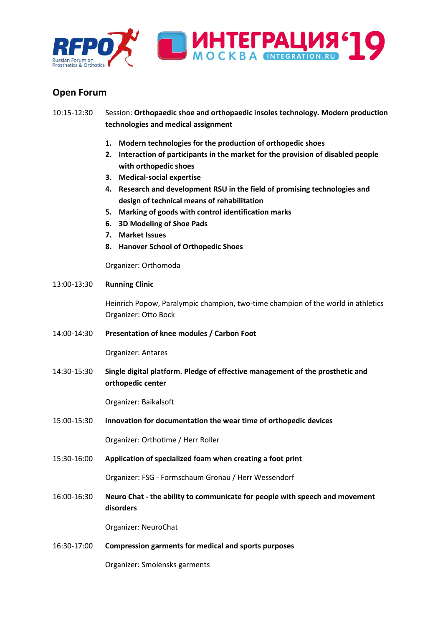

## **Open Forum**

- 10:15-12:30 Session: **Orthopaedic shoe and orthopaedic insoles technology. Modern production technologies and medical assignment**
	- **1. Modern technologies for the production of orthopedic shoes**
	- **2. Interaction of participants in the market for the provision of disabled people with orthopedic shoes**
	- **3. Medical-social expertise**
	- **4. Research and development RSU in the field of promising technologies and design of technical means of rehabilitation**
	- **5. Marking of goods with control identification marks**
	- **6. 3D Modeling of Shoe Pads**
	- **7. Market Issues**
	- **8. Hanover School of Orthopedic Shoes**

Organizer: Orthomoda

#### 13:00-13:30 **Running Clinic**

Heinrich Popow, Paralympic champion, two-time champion of the world in athletics Organizer: Otto Bock

14:00-14:30 **Presentation of knee modules / Carbon Foot** 

Organizer: Antares

14:30-15:30 **Single digital platform. Pledge of effective management of the prosthetic and orthopedic center**

Organizer: Baikalsoft

15:00-15:30 **Innovation for documentation the wear time of orthopedic devices**

Organizer: Orthotime / Herr Roller

15:30-16:00 **Application of specialized foam when creating a foot print**

Organizer: FSG - Formschaum Gronau / Herr Wessendorf

16:00-16:30 **Neuro Chat - the ability to communicate for people with speech and movement disorders**

Organizer: NeuroChat

16:30-17:00 **Compression garments for medical and sports purposes**

Organizer: Smolensks garments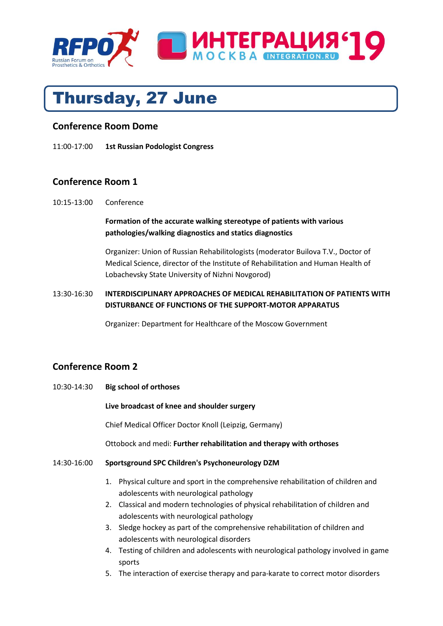

## Thursday, 27 June

## **Conference Room Dome**

11:00-17:00 **1st Russian Podologist Congress**

## **Conference Room 1**

10:15-13:00 Conference

**Formation of the accurate walking stereotype of patients with various pathologies/walking diagnostics and statics diagnostics**

Organizer: Union of Russian Rehabilitologists (moderator Builova T.V., Doctor of Medical Science, director of the Institute of Rehabilitation and Human Health of Lobachevsky State University of Nizhni Novgorod)

### 13:30-16:30 **INTERDISCIPLINARY APPROACHES OF MEDICAL REHABILITATION OF PATIENTS WITH DISTURBANCE OF FUNCTIONS OF THE SUPPORT-MOTOR APPARATUS**

Organizer: Department for Healthcare of the Moscow Government

## **Conference Room 2**

10:30-14:30 **Big school of orthoses** 

**Live broadcast of knee and shoulder surgery** 

Chief Medical Officer Doctor Knoll (Leipzig, Germany)

Ottobock and medi: **Further rehabilitation and therapy with orthoses**

#### 14:30-16:00 **Sportsground SPC Children's Psychoneurology DZM**

- 1. Physical culture and sport in the comprehensive rehabilitation of children and adolescents with neurological pathology
- 2. Classical and modern technologies of physical rehabilitation of children and adolescents with neurological pathology
- 3. Sledge hockey as part of the comprehensive rehabilitation of children and adolescents with neurological disorders
- 4. Testing of children and adolescents with neurological pathology involved in game sports
- 5. The interaction of exercise therapy and para-karate to correct motor disorders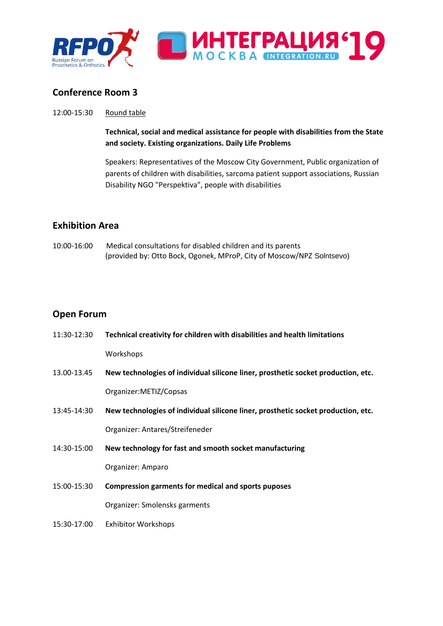

## **Conference Room 3**

#### 12:00-15:30 Round table

**Technical, social and medical assistance for people with disabilities from the State and society. Existing organizations. Daily Life Problems**

Speakers: Representatives of the Moscow City Government, Public organization of parents of children with disabilities, sarcoma patient support associations, Russian Disability NGO "Perspektiva", people with disabilities

## **Exhibition Area**

10:00-16:00 Medical consultations for disabled children and its parents (provided by: Otto Bock, Ogonek, MProP, City of Moscow/NPZ Solntsevo)

## **Open Forum**

| 11:30-12:30 | Technical creativity for children with disabilities and health limitations        |
|-------------|-----------------------------------------------------------------------------------|
|             | Workshops                                                                         |
| 13.00-13.45 | New technologies of individual silicone liner, prosthetic socket production, etc. |
|             | Organizer:METIZ/Copsas                                                            |
| 13:45-14:30 | New technologies of individual silicone liner, prosthetic socket production, etc. |
|             | Organizer: Antares/Streifeneder                                                   |
| 14:30-15:00 | New technology for fast and smooth socket manufacturing                           |
|             | Organizer: Amparo                                                                 |
| 15:00-15:30 | Compression garments for medical and sports puposes                               |
|             | Organizer: Smolensks garments                                                     |
| 15:30-17:00 | <b>Exhibitor Workshops</b>                                                        |